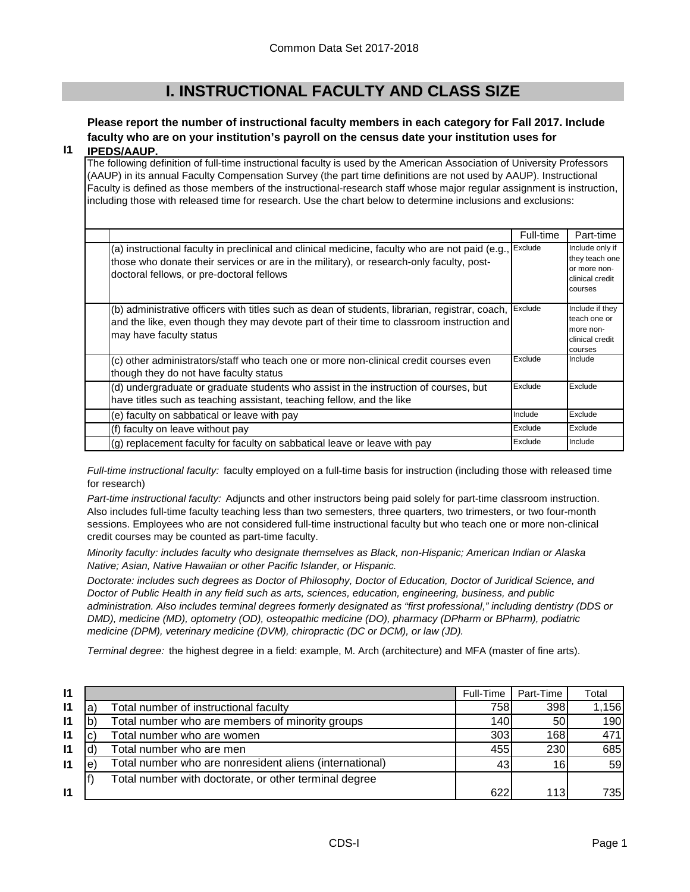# **I. INSTRUCTIONAL FACULTY AND CLASS SIZE**

# **Please report the number of instructional faculty members in each category for Fall 2017. Include faculty who are on your institution's payroll on the census date your institution uses for**

### **I1 IPEDS/AAUP.**

The following definition of full-time instructional faculty is used by the American Association of University Professors (AAUP) in its annual Faculty Compensation Survey (the part time definitions are not used by AAUP). Instructional Faculty is defined as those members of the instructional-research staff whose major regular assignment is instruction, including those with released time for research. Use the chart below to determine inclusions and exclusions:

|                                                                                                                                                                                                                                          | Full-time | Part-time                                                                       |
|------------------------------------------------------------------------------------------------------------------------------------------------------------------------------------------------------------------------------------------|-----------|---------------------------------------------------------------------------------|
| (a) instructional faculty in preclinical and clinical medicine, faculty who are not paid (e.g.,<br>those who donate their services or are in the military), or research-only faculty, post-<br>doctoral fellows, or pre-doctoral fellows | Exclude   | Include only if<br>they teach one<br>or more non-<br>clinical credit<br>courses |
| (b) administrative officers with titles such as dean of students, librarian, registrar, coach,<br>and the like, even though they may devote part of their time to classroom instruction and<br>may have faculty status                   | Exclude   | Include if they<br>teach one or<br>more non-<br>clinical credit<br>courses      |
| (c) other administrators/staff who teach one or more non-clinical credit courses even<br>though they do not have faculty status                                                                                                          | Exclude   | Include                                                                         |
| (d) undergraduate or graduate students who assist in the instruction of courses, but<br>have titles such as teaching assistant, teaching fellow, and the like                                                                            | Exclude   | Exclude                                                                         |
| (e) faculty on sabbatical or leave with pay                                                                                                                                                                                              | Include   | Exclude                                                                         |
| (f) faculty on leave without pay                                                                                                                                                                                                         | Exclude   | Exclude                                                                         |
| (g) replacement faculty for faculty on sabbatical leave or leave with pay                                                                                                                                                                | Exclude   | Include                                                                         |

*Full-time instructional faculty:* faculty employed on a full-time basis for instruction (including those with released time for research)

*Part-time instructional faculty:* Adjuncts and other instructors being paid solely for part-time classroom instruction. Also includes full-time faculty teaching less than two semesters, three quarters, two trimesters, or two four-month sessions. Employees who are not considered full-time instructional faculty but who teach one or more non-clinical credit courses may be counted as part-time faculty.

*Minority faculty: includes faculty who designate themselves as Black, non-Hispanic; American Indian or Alaska Native; Asian, Native Hawaiian or other Pacific Islander, or Hispanic.* 

*Doctorate: includes such degrees as Doctor of Philosophy, Doctor of Education, Doctor of Juridical Science, and Doctor of Public Health in any field such as arts, sciences, education, engineering, business, and public administration. Also includes terminal degrees formerly designated as "first professional," including dentistry (DDS or DMD), medicine (MD), optometry (OD), osteopathic medicine (DO), pharmacy (DPharm or BPharm), podiatric medicine (DPM), veterinary medicine (DVM), chiropractic (DC or DCM), or law (JD).*

*Terminal degree:* the highest degree in a field: example, M. Arch (architecture) and MFA (master of fine arts).

| $\mathbf{I}$ |   |                                                         | Full-Time | Part-Time | Total |
|--------------|---|---------------------------------------------------------|-----------|-----------|-------|
| $\mathsf{I}$ | a | Total number of instructional faculty                   | 758       | 398       | 1,156 |
| 11           |   | Total number who are members of minority groups         | 140       | <b>50</b> | 190   |
| 11           |   | Total number who are women                              | 303       | 168       | 471   |
| 11           |   | Total number who are men                                | 455       | 230       | 685   |
| $\mathsf{I}$ | e | Total number who are nonresident aliens (international) | 43        | 16        | 59    |
|              |   | Total number with doctorate, or other terminal degree   |           |           |       |
| $\mathbf{I}$ |   |                                                         | 622       | 113       | 735I  |